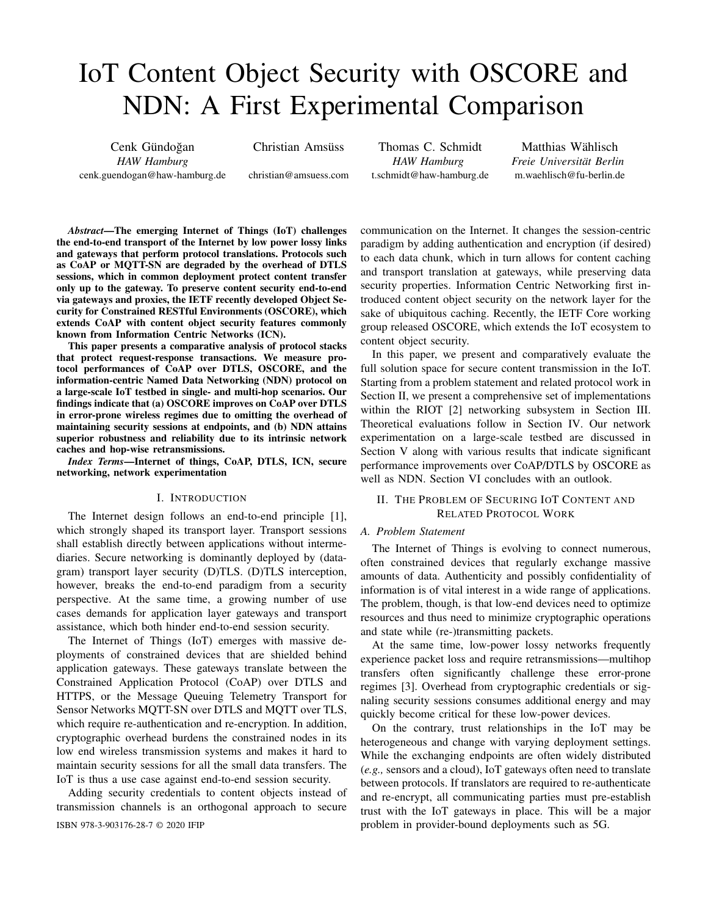# IoT Content Object Security with OSCORE and NDN: A First Experimental Comparison

Cenk Gündoğan *HAW Hamburg* cenk.guendogan@haw-hamburg.de Christian Amsüss

christian@amsuess.com

Thomas C. Schmidt *HAW Hamburg* t.schmidt@haw-hamburg.de

Matthias Wählisch *Freie Universitat Berlin ¨* m.waehlisch@fu-berlin.de

*Abstract*—The emerging Internet of Things (IoT) challenges the end-to-end transport of the Internet by low power lossy links and gateways that perform protocol translations. Protocols such as CoAP or MQTT-SN are degraded by the overhead of DTLS sessions, which in common deployment protect content transfer only up to the gateway. To preserve content security end-to-end via gateways and proxies, the IETF recently developed Object Security for Constrained RESTful Environments (OSCORE), which extends CoAP with content object security features commonly known from Information Centric Networks (ICN).

This paper presents a comparative analysis of protocol stacks that protect request-response transactions. We measure protocol performances of CoAP over DTLS, OSCORE, and the information-centric Named Data Networking (NDN) protocol on a large-scale IoT testbed in single- and multi-hop scenarios. Our findings indicate that (a) OSCORE improves on CoAP over DTLS in error-prone wireless regimes due to omitting the overhead of maintaining security sessions at endpoints, and (b) NDN attains superior robustness and reliability due to its intrinsic network caches and hop-wise retransmissions.

*Index Terms*—Internet of things, CoAP, DTLS, ICN, secure networking, network experimentation

## I. INTRODUCTION

The Internet design follows an end-to-end principle [1], which strongly shaped its transport layer. Transport sessions shall establish directly between applications without intermediaries. Secure networking is dominantly deployed by (datagram) transport layer security (D)TLS. (D)TLS interception, however, breaks the end-to-end paradigm from a security perspective. At the same time, a growing number of use cases demands for application layer gateways and transport assistance, which both hinder end-to-end session security.

The Internet of Things (IoT) emerges with massive deployments of constrained devices that are shielded behind application gateways. These gateways translate between the Constrained Application Protocol (CoAP) over DTLS and HTTPS, or the Message Queuing Telemetry Transport for Sensor Networks MQTT-SN over DTLS and MQTT over TLS, which require re-authentication and re-encryption. In addition, cryptographic overhead burdens the constrained nodes in its low end wireless transmission systems and makes it hard to maintain security sessions for all the small data transfers. The IoT is thus a use case against end-to-end session security.

Adding security credentials to content objects instead of transmission channels is an orthogonal approach to secure

communication on the Internet. It changes the session-centric paradigm by adding authentication and encryption (if desired) to each data chunk, which in turn allows for content caching and transport translation at gateways, while preserving data security properties. Information Centric Networking first introduced content object security on the network layer for the sake of ubiquitous caching. Recently, the IETF Core working group released OSCORE, which extends the IoT ecosystem to content object security.

In this paper, we present and comparatively evaluate the full solution space for secure content transmission in the IoT. Starting from a problem statement and related protocol work in Section II, we present a comprehensive set of implementations within the RIOT [2] networking subsystem in Section III. Theoretical evaluations follow in Section IV. Our network experimentation on a large-scale testbed are discussed in Section V along with various results that indicate significant performance improvements over CoAP/DTLS by OSCORE as well as NDN. Section VI concludes with an outlook.

## II. THE PROBLEM OF SECURING IOT CONTENT AND RELATED PROTOCOL WORK

#### *A. Problem Statement*

The Internet of Things is evolving to connect numerous, often constrained devices that regularly exchange massive amounts of data. Authenticity and possibly confidentiality of information is of vital interest in a wide range of applications. The problem, though, is that low-end devices need to optimize resources and thus need to minimize cryptographic operations and state while (re-)transmitting packets.

At the same time, low-power lossy networks frequently experience packet loss and require retransmissions—multihop transfers often significantly challenge these error-prone regimes [3]. Overhead from cryptographic credentials or signaling security sessions consumes additional energy and may quickly become critical for these low-power devices.

On the contrary, trust relationships in the IoT may be heterogeneous and change with varying deployment settings. While the exchanging endpoints are often widely distributed (*e.g.,* sensors and a cloud), IoT gateways often need to translate between protocols. If translators are required to re-authenticate and re-encrypt, all communicating parties must pre-establish trust with the IoT gateways in place. This will be a major ISBN 978-3-903176-28-7 © 2020 IFIP problem in provider-bound deployments such as 5G.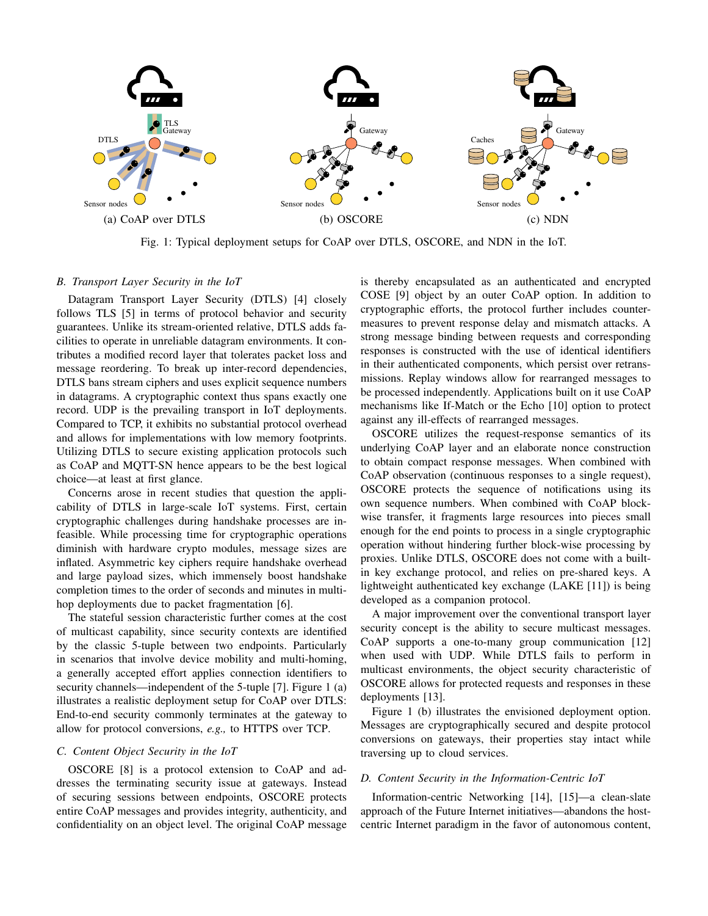

Fig. 1: Typical deployment setups for CoAP over DTLS, OSCORE, and NDN in the IoT.

## *B. Transport Layer Security in the IoT*

Datagram Transport Layer Security (DTLS) [4] closely follows TLS [5] in terms of protocol behavior and security guarantees. Unlike its stream-oriented relative, DTLS adds facilities to operate in unreliable datagram environments. It contributes a modified record layer that tolerates packet loss and message reordering. To break up inter-record dependencies, DTLS bans stream ciphers and uses explicit sequence numbers in datagrams. A cryptographic context thus spans exactly one record. UDP is the prevailing transport in IoT deployments. Compared to TCP, it exhibits no substantial protocol overhead and allows for implementations with low memory footprints. Utilizing DTLS to secure existing application protocols such as CoAP and MQTT-SN hence appears to be the best logical choice—at least at first glance.

Concerns arose in recent studies that question the applicability of DTLS in large-scale IoT systems. First, certain cryptographic challenges during handshake processes are infeasible. While processing time for cryptographic operations diminish with hardware crypto modules, message sizes are inflated. Asymmetric key ciphers require handshake overhead and large payload sizes, which immensely boost handshake completion times to the order of seconds and minutes in multihop deployments due to packet fragmentation [6].

The stateful session characteristic further comes at the cost of multicast capability, since security contexts are identified by the classic 5-tuple between two endpoints. Particularly in scenarios that involve device mobility and multi-homing, a generally accepted effort applies connection identifiers to security channels—independent of the 5-tuple [7]. Figure 1 (a) illustrates a realistic deployment setup for CoAP over DTLS: End-to-end security commonly terminates at the gateway to allow for protocol conversions, *e.g.,* to HTTPS over TCP.

# *C. Content Object Security in the IoT*

OSCORE [8] is a protocol extension to CoAP and addresses the terminating security issue at gateways. Instead of securing sessions between endpoints, OSCORE protects entire CoAP messages and provides integrity, authenticity, and confidentiality on an object level. The original CoAP message is thereby encapsulated as an authenticated and encrypted COSE [9] object by an outer CoAP option. In addition to cryptographic efforts, the protocol further includes countermeasures to prevent response delay and mismatch attacks. A strong message binding between requests and corresponding responses is constructed with the use of identical identifiers in their authenticated components, which persist over retransmissions. Replay windows allow for rearranged messages to be processed independently. Applications built on it use CoAP mechanisms like If-Match or the Echo [10] option to protect against any ill-effects of rearranged messages.

OSCORE utilizes the request-response semantics of its underlying CoAP layer and an elaborate nonce construction to obtain compact response messages. When combined with CoAP observation (continuous responses to a single request), OSCORE protects the sequence of notifications using its own sequence numbers. When combined with CoAP blockwise transfer, it fragments large resources into pieces small enough for the end points to process in a single cryptographic operation without hindering further block-wise processing by proxies. Unlike DTLS, OSCORE does not come with a builtin key exchange protocol, and relies on pre-shared keys. A lightweight authenticated key exchange (LAKE [11]) is being developed as a companion protocol.

A major improvement over the conventional transport layer security concept is the ability to secure multicast messages. CoAP supports a one-to-many group communication [12] when used with UDP. While DTLS fails to perform in multicast environments, the object security characteristic of OSCORE allows for protected requests and responses in these deployments [13].

Figure 1 (b) illustrates the envisioned deployment option. Messages are cryptographically secured and despite protocol conversions on gateways, their properties stay intact while traversing up to cloud services.

#### *D. Content Security in the Information-Centric IoT*

Information-centric Networking [14], [15]—a clean-slate approach of the Future Internet initiatives—abandons the hostcentric Internet paradigm in the favor of autonomous content,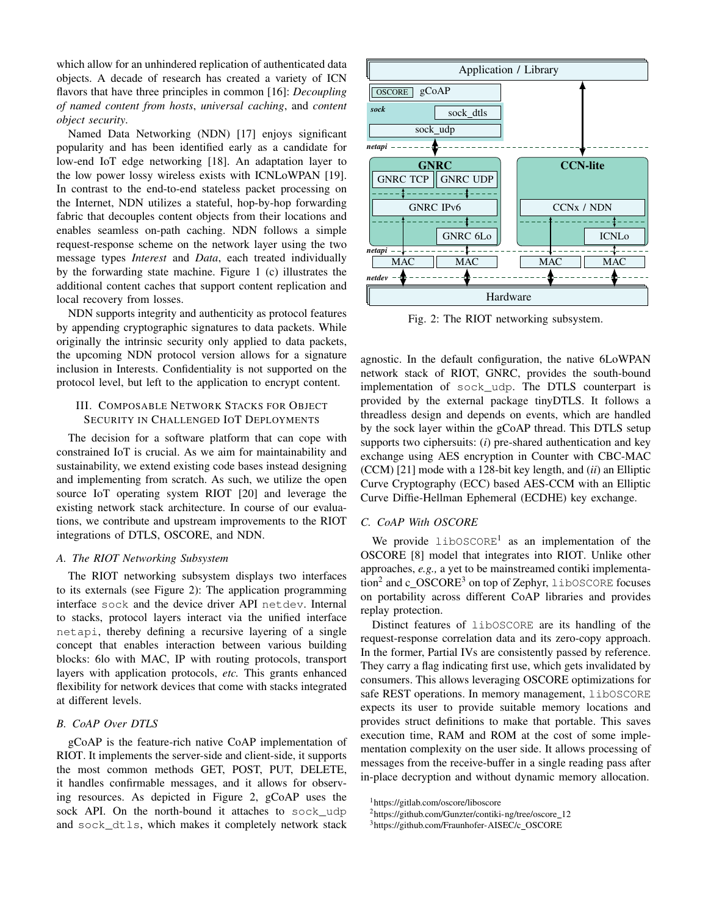which allow for an unhindered replication of authenticated data objects. A decade of research has created a variety of ICN flavors that have three principles in common [16]: *Decoupling of named content from hosts*, *universal caching*, and *content object security*.

Named Data Networking (NDN) [17] enjoys significant popularity and has been identified early as a candidate for low-end IoT edge networking [18]. An adaptation layer to the low power lossy wireless exists with ICNLoWPAN [19]. In contrast to the end-to-end stateless packet processing on the Internet, NDN utilizes a stateful, hop-by-hop forwarding fabric that decouples content objects from their locations and enables seamless on-path caching. NDN follows a simple request-response scheme on the network layer using the two message types *Interest* and *Data*, each treated individually by the forwarding state machine. Figure 1 (c) illustrates the additional content caches that support content replication and local recovery from losses.

NDN supports integrity and authenticity as protocol features by appending cryptographic signatures to data packets. While originally the intrinsic security only applied to data packets, the upcoming NDN protocol version allows for a signature inclusion in Interests. Confidentiality is not supported on the protocol level, but left to the application to encrypt content.

# III. COMPOSABLE NETWORK STACKS FOR OBJECT SECURITY IN CHALLENGED IOT DEPLOYMENTS

The decision for a software platform that can cope with constrained IoT is crucial. As we aim for maintainability and sustainability, we extend existing code bases instead designing and implementing from scratch. As such, we utilize the open source IoT operating system RIOT [20] and leverage the existing network stack architecture. In course of our evaluations, we contribute and upstream improvements to the RIOT integrations of DTLS, OSCORE, and NDN.

## *A. The RIOT Networking Subsystem*

The RIOT networking subsystem displays two interfaces to its externals (see Figure 2): The application programming interface sock and the device driver API netdev. Internal to stacks, protocol layers interact via the unified interface netapi, thereby defining a recursive layering of a single concept that enables interaction between various building blocks: 6lo with MAC, IP with routing protocols, transport layers with application protocols, *etc.* This grants enhanced flexibility for network devices that come with stacks integrated at different levels.

# *B. CoAP Over DTLS*

gCoAP is the feature-rich native CoAP implementation of RIOT. It implements the server-side and client-side, it supports the most common methods GET, POST, PUT, DELETE, it handles confirmable messages, and it allows for observing resources. As depicted in Figure 2, gCoAP uses the sock API. On the north-bound it attaches to sock\_udp and sock\_dtls, which makes it completely network stack



Fig. 2: The RIOT networking subsystem.

agnostic. In the default configuration, the native 6LoWPAN network stack of RIOT, GNRC, provides the south-bound implementation of sock\_udp. The DTLS counterpart is provided by the external package tinyDTLS. It follows a threadless design and depends on events, which are handled by the sock layer within the gCoAP thread. This DTLS setup supports two ciphersuits: (*i*) pre-shared authentication and key exchange using AES encryption in Counter with CBC-MAC (CCM) [21] mode with a 128-bit key length, and (*ii*) an Elliptic Curve Cryptography (ECC) based AES-CCM with an Elliptic Curve Diffie-Hellman Ephemeral (ECDHE) key exchange.

#### *C. CoAP With OSCORE*

We provide  $\text{libOSCORE}^1$  as an implementation of the OSCORE [8] model that integrates into RIOT. Unlike other approaches, *e.g.,* a yet to be mainstreamed contiki implementation<sup>2</sup> and c\_OSCORE<sup>3</sup> on top of Zephyr, libOSCORE focuses on portability across different CoAP libraries and provides replay protection.

Distinct features of libOSCORE are its handling of the request-response correlation data and its zero-copy approach. In the former, Partial IVs are consistently passed by reference. They carry a flag indicating first use, which gets invalidated by consumers. This allows leveraging OSCORE optimizations for safe REST operations. In memory management, libOSCORE expects its user to provide suitable memory locations and provides struct definitions to make that portable. This saves execution time, RAM and ROM at the cost of some implementation complexity on the user side. It allows processing of messages from the receive-buffer in a single reading pass after in-place decryption and without dynamic memory allocation.

<sup>1</sup>https://gitlab.com/oscore/liboscore

<sup>&</sup>lt;sup>2</sup>https://github.com/Gunzter/contiki-ng/tree/oscore\_12

<sup>&</sup>lt;sup>3</sup>https://github.com/Fraunhofer-AISEC/c\_OSCORE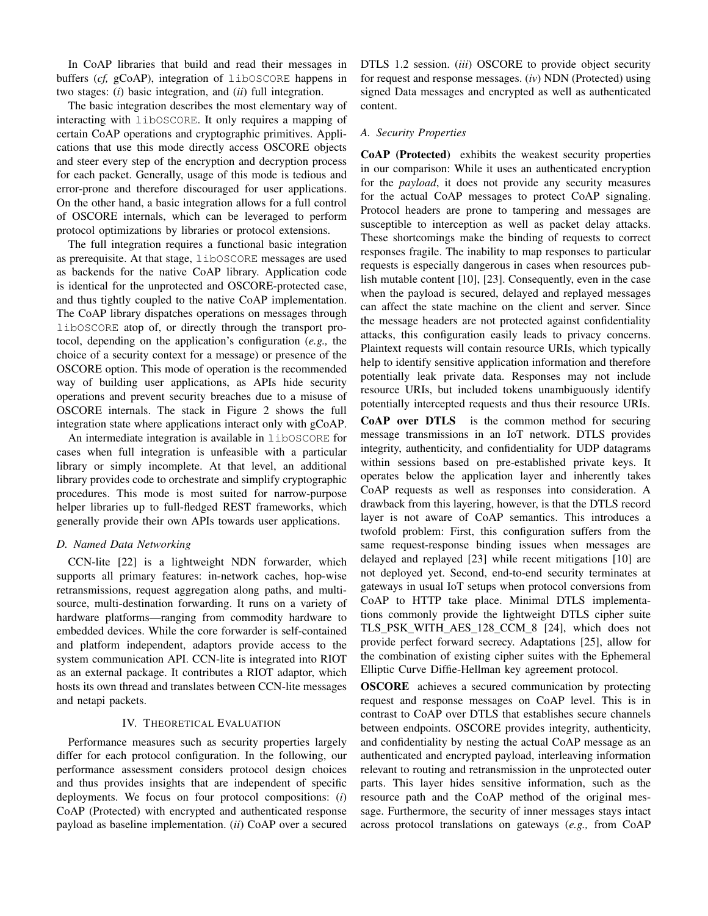In CoAP libraries that build and read their messages in buffers (*cf,* gCoAP), integration of libOSCORE happens in two stages: (*i*) basic integration, and (*ii*) full integration.

The basic integration describes the most elementary way of interacting with libOSCORE. It only requires a mapping of certain CoAP operations and cryptographic primitives. Applications that use this mode directly access OSCORE objects and steer every step of the encryption and decryption process for each packet. Generally, usage of this mode is tedious and error-prone and therefore discouraged for user applications. On the other hand, a basic integration allows for a full control of OSCORE internals, which can be leveraged to perform protocol optimizations by libraries or protocol extensions.

The full integration requires a functional basic integration as prerequisite. At that stage, libOSCORE messages are used as backends for the native CoAP library. Application code is identical for the unprotected and OSCORE-protected case, and thus tightly coupled to the native CoAP implementation. The CoAP library dispatches operations on messages through libOSCORE atop of, or directly through the transport protocol, depending on the application's configuration (*e.g.,* the choice of a security context for a message) or presence of the OSCORE option. This mode of operation is the recommended way of building user applications, as APIs hide security operations and prevent security breaches due to a misuse of OSCORE internals. The stack in Figure 2 shows the full integration state where applications interact only with gCoAP.

An intermediate integration is available in libOSCORE for cases when full integration is unfeasible with a particular library or simply incomplete. At that level, an additional library provides code to orchestrate and simplify cryptographic procedures. This mode is most suited for narrow-purpose helper libraries up to full-fledged REST frameworks, which generally provide their own APIs towards user applications.

#### *D. Named Data Networking*

CCN-lite [22] is a lightweight NDN forwarder, which supports all primary features: in-network caches, hop-wise retransmissions, request aggregation along paths, and multisource, multi-destination forwarding. It runs on a variety of hardware platforms—ranging from commodity hardware to embedded devices. While the core forwarder is self-contained and platform independent, adaptors provide access to the system communication API. CCN-lite is integrated into RIOT as an external package. It contributes a RIOT adaptor, which hosts its own thread and translates between CCN-lite messages and netapi packets.

## IV. THEORETICAL EVALUATION

Performance measures such as security properties largely differ for each protocol configuration. In the following, our performance assessment considers protocol design choices and thus provides insights that are independent of specific deployments. We focus on four protocol compositions: (*i*) CoAP (Protected) with encrypted and authenticated response payload as baseline implementation. (*ii*) CoAP over a secured DTLS 1.2 session. (*iii*) OSCORE to provide object security for request and response messages. (*iv*) NDN (Protected) using signed Data messages and encrypted as well as authenticated content.

#### *A. Security Properties*

CoAP (Protected) exhibits the weakest security properties in our comparison: While it uses an authenticated encryption for the *payload*, it does not provide any security measures for the actual CoAP messages to protect CoAP signaling. Protocol headers are prone to tampering and messages are susceptible to interception as well as packet delay attacks. These shortcomings make the binding of requests to correct responses fragile. The inability to map responses to particular requests is especially dangerous in cases when resources publish mutable content [10], [23]. Consequently, even in the case when the payload is secured, delayed and replayed messages can affect the state machine on the client and server. Since the message headers are not protected against confidentiality attacks, this configuration easily leads to privacy concerns. Plaintext requests will contain resource URIs, which typically help to identify sensitive application information and therefore potentially leak private data. Responses may not include resource URIs, but included tokens unambiguously identify potentially intercepted requests and thus their resource URIs.

CoAP over DTLS is the common method for securing message transmissions in an IoT network. DTLS provides integrity, authenticity, and confidentiality for UDP datagrams within sessions based on pre-established private keys. It operates below the application layer and inherently takes CoAP requests as well as responses into consideration. A drawback from this layering, however, is that the DTLS record layer is not aware of CoAP semantics. This introduces a twofold problem: First, this configuration suffers from the same request-response binding issues when messages are delayed and replayed [23] while recent mitigations [10] are not deployed yet. Second, end-to-end security terminates at gateways in usual IoT setups when protocol conversions from CoAP to HTTP take place. Minimal DTLS implementations commonly provide the lightweight DTLS cipher suite TLS PSK WITH AES 128 CCM 8 [24], which does not provide perfect forward secrecy. Adaptations [25], allow for the combination of existing cipher suites with the Ephemeral Elliptic Curve Diffie-Hellman key agreement protocol.

OSCORE achieves a secured communication by protecting request and response messages on CoAP level. This is in contrast to CoAP over DTLS that establishes secure channels between endpoints. OSCORE provides integrity, authenticity, and confidentiality by nesting the actual CoAP message as an authenticated and encrypted payload, interleaving information relevant to routing and retransmission in the unprotected outer parts. This layer hides sensitive information, such as the resource path and the CoAP method of the original message. Furthermore, the security of inner messages stays intact across protocol translations on gateways (*e.g.,* from CoAP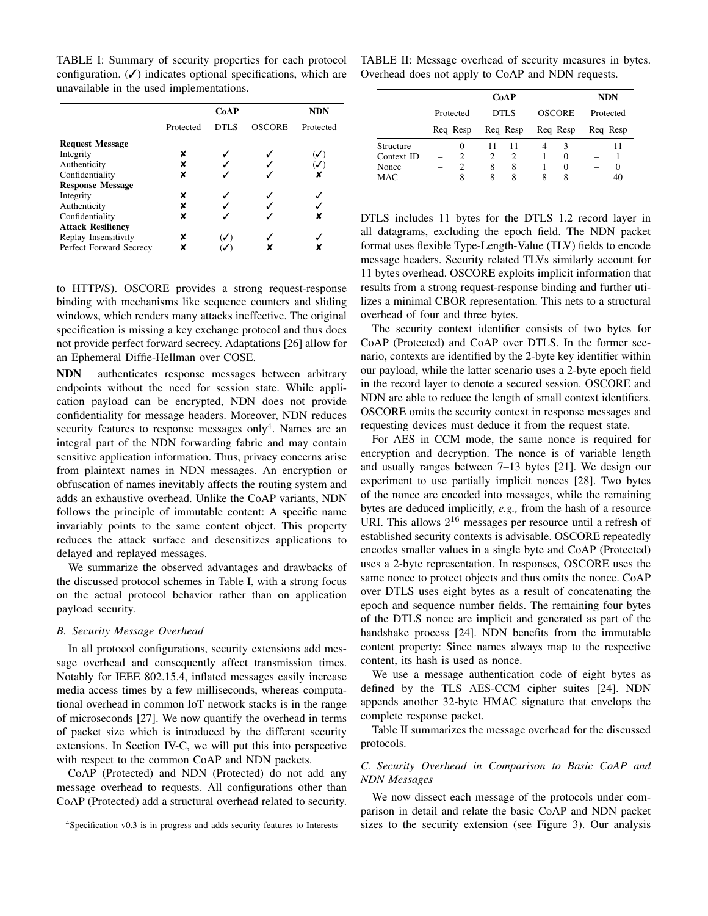TABLE I: Summary of security properties for each protocol configuration.  $(V)$  indicates optional specifications, which are unavailable in the used implementations.

|                          |           | <b>NDN</b> |               |           |
|--------------------------|-----------|------------|---------------|-----------|
|                          | Protected | DTLS       | <b>OSCORE</b> | Protected |
| <b>Request Message</b>   |           |            |               |           |
| Integrity                | x         |            |               |           |
| Authenticity             |           |            |               |           |
| Confidentiality          |           |            |               |           |
| <b>Response Message</b>  |           |            |               |           |
| Integrity                |           |            |               |           |
| Authenticity             |           |            |               |           |
| Confidentiality          |           |            |               |           |
| <b>Attack Resiliency</b> |           |            |               |           |
| Replay Insensitivity     |           |            |               |           |
| Perfect Forward Secrecy  |           |            |               |           |

to HTTP/S). OSCORE provides a strong request-response binding with mechanisms like sequence counters and sliding windows, which renders many attacks ineffective. The original specification is missing a key exchange protocol and thus does not provide perfect forward secrecy. Adaptations [26] allow for an Ephemeral Diffie-Hellman over COSE.

NDN authenticates response messages between arbitrary endpoints without the need for session state. While application payload can be encrypted, NDN does not provide confidentiality for message headers. Moreover, NDN reduces security features to response messages only<sup>4</sup>. Names are an integral part of the NDN forwarding fabric and may contain sensitive application information. Thus, privacy concerns arise from plaintext names in NDN messages. An encryption or obfuscation of names inevitably affects the routing system and adds an exhaustive overhead. Unlike the CoAP variants, NDN follows the principle of immutable content: A specific name invariably points to the same content object. This property reduces the attack surface and desensitizes applications to delayed and replayed messages.

We summarize the observed advantages and drawbacks of the discussed protocol schemes in Table I, with a strong focus on the actual protocol behavior rather than on application payload security.

#### *B. Security Message Overhead*

In all protocol configurations, security extensions add message overhead and consequently affect transmission times. Notably for IEEE 802.15.4, inflated messages easily increase media access times by a few milliseconds, whereas computational overhead in common IoT network stacks is in the range of microseconds [27]. We now quantify the overhead in terms of packet size which is introduced by the different security extensions. In Section IV-C, we will put this into perspective with respect to the common CoAP and NDN packets.

CoAP (Protected) and NDN (Protected) do not add any message overhead to requests. All configurations other than CoAP (Protected) add a structural overhead related to security.

TABLE II: Message overhead of security measures in bytes. Overhead does not apply to CoAP and NDN requests.

|            | CoAP      |          |      |          |               |          | <b>NDN</b> |          |
|------------|-----------|----------|------|----------|---------------|----------|------------|----------|
|            | Protected |          | DTLS |          | <b>OSCORE</b> |          | Protected  |          |
|            |           | Req Resp |      | Req Resp |               | Req Resp |            | Req Resp |
| Structure  |           | 0        | 11   | 11       |               | 3        |            | 11       |
| Context ID |           |          | 2    | 2        |               | 0        |            |          |
| Nonce      |           |          | 8    | 8        |               |          |            | $\theta$ |
| MAC        |           | 8        | 8    | 8        | 8             | 8        |            | 40       |

DTLS includes 11 bytes for the DTLS 1.2 record layer in all datagrams, excluding the epoch field. The NDN packet format uses flexible Type-Length-Value (TLV) fields to encode message headers. Security related TLVs similarly account for 11 bytes overhead. OSCORE exploits implicit information that results from a strong request-response binding and further utilizes a minimal CBOR representation. This nets to a structural overhead of four and three bytes.

The security context identifier consists of two bytes for CoAP (Protected) and CoAP over DTLS. In the former scenario, contexts are identified by the 2-byte key identifier within our payload, while the latter scenario uses a 2-byte epoch field in the record layer to denote a secured session. OSCORE and NDN are able to reduce the length of small context identifiers. OSCORE omits the security context in response messages and requesting devices must deduce it from the request state.

For AES in CCM mode, the same nonce is required for encryption and decryption. The nonce is of variable length and usually ranges between 7–13 bytes [21]. We design our experiment to use partially implicit nonces [28]. Two bytes of the nonce are encoded into messages, while the remaining bytes are deduced implicitly, *e.g.,* from the hash of a resource URI. This allows  $2^{16}$  messages per resource until a refresh of established security contexts is advisable. OSCORE repeatedly encodes smaller values in a single byte and CoAP (Protected) uses a 2-byte representation. In responses, OSCORE uses the same nonce to protect objects and thus omits the nonce. CoAP over DTLS uses eight bytes as a result of concatenating the epoch and sequence number fields. The remaining four bytes of the DTLS nonce are implicit and generated as part of the handshake process [24]. NDN benefits from the immutable content property: Since names always map to the respective content, its hash is used as nonce.

We use a message authentication code of eight bytes as defined by the TLS AES-CCM cipher suites [24]. NDN appends another 32-byte HMAC signature that envelops the complete response packet.

Table II summarizes the message overhead for the discussed protocols.

## *C. Security Overhead in Comparison to Basic CoAP and NDN Messages*

We now dissect each message of the protocols under comparison in detail and relate the basic CoAP and NDN packet sizes to the security extension (see Figure 3). Our analysis

<sup>4</sup>Specification v0.3 is in progress and adds security features to Interests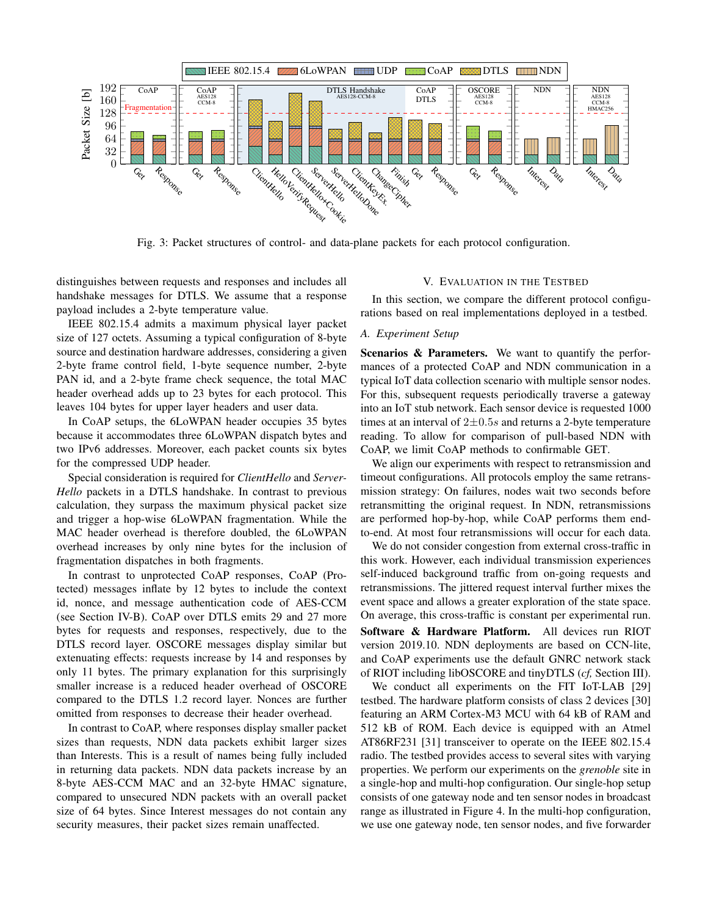

Fig. 3: Packet structures of control- and data-plane packets for each protocol configuration.

distinguishes between requests and responses and includes all handshake messages for DTLS. We assume that a response payload includes a 2-byte temperature value.

IEEE 802.15.4 admits a maximum physical layer packet size of 127 octets. Assuming a typical configuration of 8-byte source and destination hardware addresses, considering a given 2-byte frame control field, 1-byte sequence number, 2-byte PAN id, and a 2-byte frame check sequence, the total MAC header overhead adds up to 23 bytes for each protocol. This leaves 104 bytes for upper layer headers and user data.

In CoAP setups, the 6LoWPAN header occupies 35 bytes because it accommodates three 6LoWPAN dispatch bytes and two IPv6 addresses. Moreover, each packet counts six bytes for the compressed UDP header.

Special consideration is required for *ClientHello* and *Server-Hello* packets in a DTLS handshake. In contrast to previous calculation, they surpass the maximum physical packet size and trigger a hop-wise 6LoWPAN fragmentation. While the MAC header overhead is therefore doubled, the 6LoWPAN overhead increases by only nine bytes for the inclusion of fragmentation dispatches in both fragments.

In contrast to unprotected CoAP responses, CoAP (Protected) messages inflate by 12 bytes to include the context id, nonce, and message authentication code of AES-CCM (see Section IV-B). CoAP over DTLS emits 29 and 27 more bytes for requests and responses, respectively, due to the DTLS record layer. OSCORE messages display similar but extenuating effects: requests increase by 14 and responses by only 11 bytes. The primary explanation for this surprisingly smaller increase is a reduced header overhead of OSCORE compared to the DTLS 1.2 record layer. Nonces are further omitted from responses to decrease their header overhead.

In contrast to CoAP, where responses display smaller packet sizes than requests, NDN data packets exhibit larger sizes than Interests. This is a result of names being fully included in returning data packets. NDN data packets increase by an 8-byte AES-CCM MAC and an 32-byte HMAC signature, compared to unsecured NDN packets with an overall packet size of 64 bytes. Since Interest messages do not contain any security measures, their packet sizes remain unaffected.

#### V. EVALUATION IN THE TESTBED

In this section, we compare the different protocol configurations based on real implementations deployed in a testbed.

#### *A. Experiment Setup*

Scenarios & Parameters. We want to quantify the performances of a protected CoAP and NDN communication in a typical IoT data collection scenario with multiple sensor nodes. For this, subsequent requests periodically traverse a gateway into an IoT stub network. Each sensor device is requested 1000 times at an interval of  $2\pm0.5s$  and returns a 2-byte temperature reading. To allow for comparison of pull-based NDN with CoAP, we limit CoAP methods to confirmable GET.

We align our experiments with respect to retransmission and timeout configurations. All protocols employ the same retransmission strategy: On failures, nodes wait two seconds before retransmitting the original request. In NDN, retransmissions are performed hop-by-hop, while CoAP performs them endto-end. At most four retransmissions will occur for each data.

We do not consider congestion from external cross-traffic in this work. However, each individual transmission experiences self-induced background traffic from on-going requests and retransmissions. The jittered request interval further mixes the event space and allows a greater exploration of the state space. On average, this cross-traffic is constant per experimental run. Software & Hardware Platform. All devices run RIOT version 2019.10. NDN deployments are based on CCN-lite, and CoAP experiments use the default GNRC network stack of RIOT including libOSCORE and tinyDTLS (*cf,* Section III).

We conduct all experiments on the FIT IoT-LAB [29] testbed. The hardware platform consists of class 2 devices [30] featuring an ARM Cortex-M3 MCU with 64 kB of RAM and 512 kB of ROM. Each device is equipped with an Atmel AT86RF231 [31] transceiver to operate on the IEEE 802.15.4 radio. The testbed provides access to several sites with varying properties. We perform our experiments on the *grenoble* site in a single-hop and multi-hop configuration. Our single-hop setup consists of one gateway node and ten sensor nodes in broadcast range as illustrated in Figure 4. In the multi-hop configuration, we use one gateway node, ten sensor nodes, and five forwarder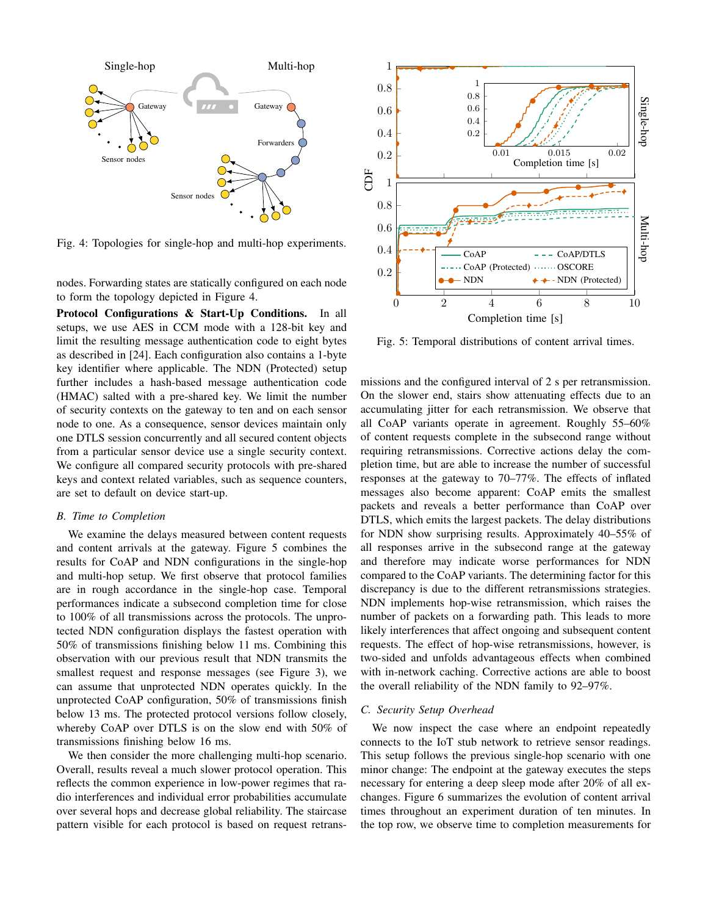

Fig. 4: Topologies for single-hop and multi-hop experiments.

nodes. Forwarding states are statically configured on each node to form the topology depicted in Figure 4.

Protocol Configurations & Start-Up Conditions. In all setups, we use AES in CCM mode with a 128-bit key and limit the resulting message authentication code to eight bytes as described in [24]. Each configuration also contains a 1-byte key identifier where applicable. The NDN (Protected) setup further includes a hash-based message authentication code (HMAC) salted with a pre-shared key. We limit the number of security contexts on the gateway to ten and on each sensor node to one. As a consequence, sensor devices maintain only one DTLS session concurrently and all secured content objects from a particular sensor device use a single security context. We configure all compared security protocols with pre-shared keys and context related variables, such as sequence counters, are set to default on device start-up.

## *B. Time to Completion*

We examine the delays measured between content requests and content arrivals at the gateway. Figure 5 combines the results for CoAP and NDN configurations in the single-hop and multi-hop setup. We first observe that protocol families are in rough accordance in the single-hop case. Temporal performances indicate a subsecond completion time for close to 100% of all transmissions across the protocols. The unprotected NDN configuration displays the fastest operation with 50% of transmissions finishing below 11 ms. Combining this observation with our previous result that NDN transmits the smallest request and response messages (see Figure 3), we can assume that unprotected NDN operates quickly. In the unprotected CoAP configuration, 50% of transmissions finish below 13 ms. The protected protocol versions follow closely, whereby CoAP over DTLS is on the slow end with 50% of transmissions finishing below 16 ms.

We then consider the more challenging multi-hop scenario. Overall, results reveal a much slower protocol operation. This reflects the common experience in low-power regimes that radio interferences and individual error probabilities accumulate over several hops and decrease global reliability. The staircase pattern visible for each protocol is based on request retrans-

![](_page_6_Figure_7.jpeg)

Fig. 5: Temporal distributions of content arrival times.

missions and the configured interval of 2 s per retransmission. On the slower end, stairs show attenuating effects due to an accumulating jitter for each retransmission. We observe that all CoAP variants operate in agreement. Roughly 55–60% of content requests complete in the subsecond range without requiring retransmissions. Corrective actions delay the completion time, but are able to increase the number of successful responses at the gateway to 70–77%. The effects of inflated messages also become apparent: CoAP emits the smallest packets and reveals a better performance than CoAP over DTLS, which emits the largest packets. The delay distributions for NDN show surprising results. Approximately 40–55% of all responses arrive in the subsecond range at the gateway and therefore may indicate worse performances for NDN compared to the CoAP variants. The determining factor for this discrepancy is due to the different retransmissions strategies. NDN implements hop-wise retransmission, which raises the number of packets on a forwarding path. This leads to more likely interferences that affect ongoing and subsequent content requests. The effect of hop-wise retransmissions, however, is two-sided and unfolds advantageous effects when combined with in-network caching. Corrective actions are able to boost the overall reliability of the NDN family to 92–97%.

## *C. Security Setup Overhead*

We now inspect the case where an endpoint repeatedly connects to the IoT stub network to retrieve sensor readings. This setup follows the previous single-hop scenario with one minor change: The endpoint at the gateway executes the steps necessary for entering a deep sleep mode after 20% of all exchanges. Figure 6 summarizes the evolution of content arrival times throughout an experiment duration of ten minutes. In the top row, we observe time to completion measurements for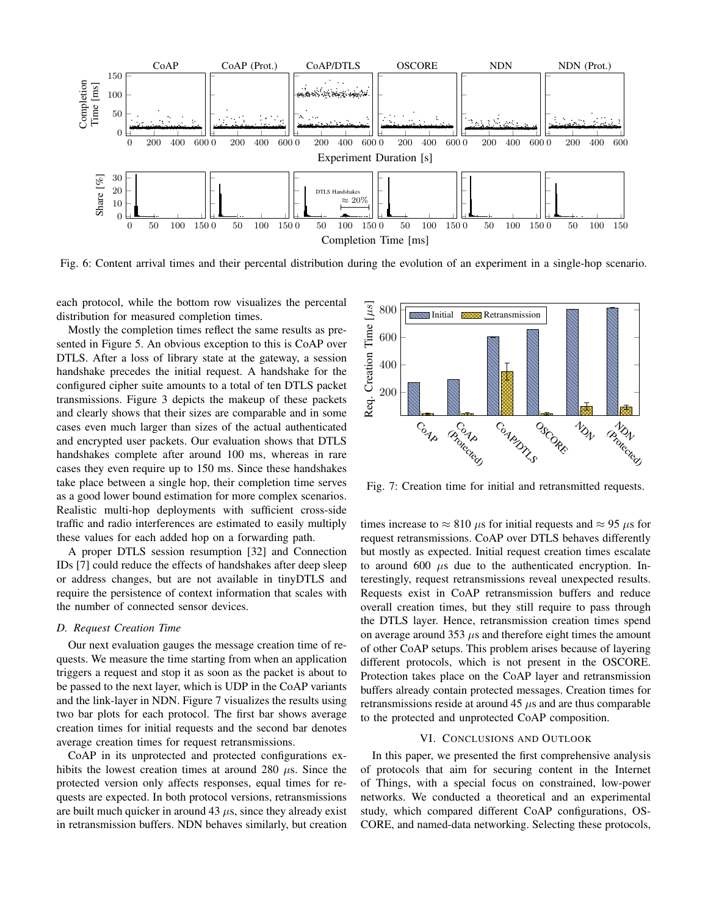![](_page_7_Figure_0.jpeg)

Fig. 6: Content arrival times and their percental distribution during the evolution of an experiment in a single-hop scenario.

each protocol, while the bottom row visualizes the percental distribution for measured completion times.

Mostly the completion times reflect the same results as presented in Figure 5. An obvious exception to this is CoAP over DTLS. After a loss of library state at the gateway, a session handshake precedes the initial request. A handshake for the configured cipher suite amounts to a total of ten DTLS packet transmissions. Figure 3 depicts the makeup of these packets and clearly shows that their sizes are comparable and in some cases even much larger than sizes of the actual authenticated and encrypted user packets. Our evaluation shows that DTLS handshakes complete after around 100 ms, whereas in rare cases they even require up to 150 ms. Since these handshakes take place between a single hop, their completion time serves as a good lower bound estimation for more complex scenarios. Realistic multi-hop deployments with sufficient cross-side traffic and radio interferences are estimated to easily multiply these values for each added hop on a forwarding path.

A proper DTLS session resumption [32] and Connection IDs [7] could reduce the effects of handshakes after deep sleep or address changes, but are not available in tinyDTLS and require the persistence of context information that scales with the number of connected sensor devices.

#### *D. Request Creation Time*

Our next evaluation gauges the message creation time of requests. We measure the time starting from when an application triggers a request and stop it as soon as the packet is about to be passed to the next layer, which is UDP in the CoAP variants and the link-layer in NDN. Figure 7 visualizes the results using two bar plots for each protocol. The first bar shows average creation times for initial requests and the second bar denotes average creation times for request retransmissions.

CoAP in its unprotected and protected configurations exhibits the lowest creation times at around 280  $\mu$ s. Since the protected version only affects responses, equal times for requests are expected. In both protocol versions, retransmissions are built much quicker in around 43  $\mu$ s, since they already exist in retransmission buffers. NDN behaves similarly, but creation

![](_page_7_Figure_8.jpeg)

Fig. 7: Creation time for initial and retransmitted requests.

times increase to  $\approx 810 \mu s$  for initial requests and  $\approx 95 \mu s$  for request retransmissions. CoAP over DTLS behaves differently but mostly as expected. Initial request creation times escalate to around  $600 \mu s$  due to the authenticated encryption. Interestingly, request retransmissions reveal unexpected results. Requests exist in CoAP retransmission buffers and reduce overall creation times, but they still require to pass through the DTLS layer. Hence, retransmission creation times spend on average around 353  $\mu$ s and therefore eight times the amount of other CoAP setups. This problem arises because of layering different protocols, which is not present in the OSCORE. Protection takes place on the CoAP layer and retransmission buffers already contain protected messages. Creation times for retransmissions reside at around  $45 \mu s$  and are thus comparable to the protected and unprotected CoAP composition.

#### VI. CONCLUSIONS AND OUTLOOK

In this paper, we presented the first comprehensive analysis of protocols that aim for securing content in the Internet of Things, with a special focus on constrained, low-power networks. We conducted a theoretical and an experimental study, which compared different CoAP configurations, OS-CORE, and named-data networking. Selecting these protocols,